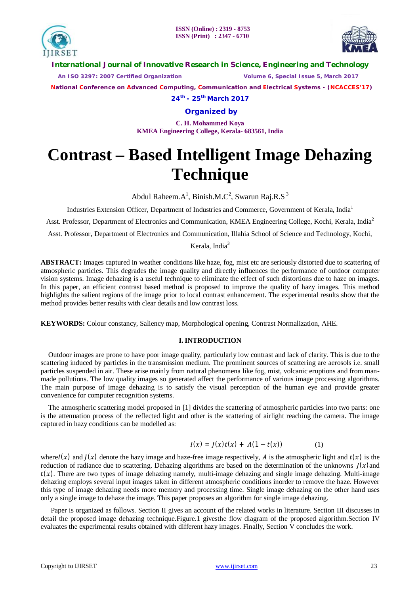



**International Journal of Innovative Research in Science, Engineering and Technology**

 *An ISO 3297: 2007 Certified Organization Volume 6, Special Issue 5, March 2017*

 **National Conference on Advanced Computing, Communication and Electrical Systems - (NCACCES'17)**

**24th - 25th March 2017**

**Organized by**

**C. H. Mohammed Koya KMEA Engineering College, Kerala- 683561, India** 

# **Contrast – Based Intelligent Image Dehazing Technique**

Abdul Raheem. $A^1$ , Binish.M.C<sup>2</sup>, Swarun Raj.R.S<sup>3</sup>

Industries Extension Officer, Department of Industries and Commerce, Government of Kerala, India<sup>1</sup>

Asst. Professor, Department of Electronics and Communication, KMEA Engineering College, Kochi, Kerala, India<sup>2</sup>

Asst. Professor, Department of Electronics and Communication, Illahia School of Science and Technology, Kochi,

## Kerala, India $3$

**ABSTRACT:** Images captured in weather conditions like haze, fog, mist etc are seriously distorted due to scattering of atmospheric particles. This degrades the image quality and directly influences the performance of outdoor computer vision systems. Image dehazing is a useful technique to eliminate the effect of such distortions due to haze on images. In this paper, an efficient contrast based method is proposed to improve the quality of hazy images. This method highlights the salient regions of the image prior to local contrast enhancement. The experimental results show that the method provides better results with clear details and low contrast loss.

**KEYWORDS:** Colour constancy, Saliency map, Morphological opening, Contrast Normalization, AHE.

# **I. INTRODUCTION**

Outdoor images are prone to have poor image quality, particularly low contrast and lack of clarity. This is due to the scattering induced by particles in the transmission medium. The prominent sources of scattering are aerosols i.e. small particles suspended in air. These arise mainly from natural phenomena like fog, mist, volcanic eruptions and from manmade pollutions. The low quality images so generated affect the performance of various image processing algorithms. The main purpose of image dehazing is to satisfy the visual perception of the human eye and provide greater convenience for computer recognition systems.

The atmospheric scattering model proposed in [1] divides the scattering of atmospheric particles into two parts: one is the attenuation process of the reflected light and other is the scattering of airlight reaching the camera. The image captured in hazy conditions can be modelled as:

$$
I(x) = J(x)t(x) + A(1 - t(x))
$$
 (1)

where  $I(x)$  and  $I(x)$  denote the hazy image and haze-free image respectively, A is the atmospheric light and  $t(x)$  is the reduction of radiance due to scattering. Dehazing algorithms are based on the determination of the unknowns  $J(x)$  and  $t(x)$ . There are two types of image dehazing namely, multi-image dehazing and single image dehazing. Multi-image dehazing employs several input images taken in different atmospheric conditions inorder to remove the haze. However this type of image dehazing needs more memory and processing time. Single image dehazing on the other hand uses only a single image to dehaze the image. This paper proposes an algorithm for single image dehazing.

Paper is organized as follows. Section II gives an account of the related works in literature. Section III discusses in detail the proposed image dehazing technique.Figure.1 givesthe flow diagram of the proposed algorithm.Section IV evaluates the experimental results obtained with different hazy images. Finally, Section V concludes the work.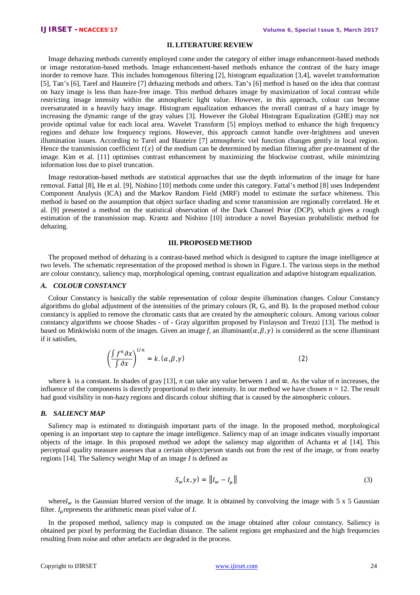### **II. LITERATURE REVIEW**

Image dehazing methods currently employed come under the category of either image enhancement-based methods or image restoration-based methods. Image enhancement-based methods enhance the contrast of the hazy image inorder to remove haze. This includes homogenous filtering [2], histogram equalization [3,4], wavelet transformation [5], Tan's [6], Tarel and Hauteire [7] dehazing methods and others. Tan's [6] method is based on the idea that contrast on hazy image is less than haze-free image. This method dehazes image by maximization of local contrast while restricting image intensity within the atmospheric light value. However, in this approach, colour can become oversaturated in a heavily hazy image. Histogram equalization enhances the overall contrast of a hazy image by increasing the dynamic range of the gray values [3]. However the Global Histogram Equalization (GHE) may not provide optimal value for each local area. Wavelet Transform [5] employs method to enhance the high frequency regions and dehaze low frequency regions. However, this approach cannot handle over-brightness and uneven illumination issues. According to Tarel and Hauteire [7] atmospheric viel function changes gently in local region. Hence the transmission coefficient  $t(x)$  of the medium can be determined by median filtering after pre-treatment of the image. Kim et al. [11] optimises contrast enhancement by maximizing the blockwise contrast, while minimizing information loss due to pixel truncation.

Image restoration-based methods are statistical approaches that use the depth information of the image for haze removal. Fattal [8], He et al. [9], Nishino [10] methods come under this category. Fattal's method [8] uses Independent Component Analysis (ICA) and the Markov Random Field (MRF) model to estimate the surface whiteness. This method is based on the assumption that object surface shading and scene transmission are regionally correlated. He et al. [9] presented a method on the statistical observation of the Dark Channel Prior (DCP), which gives a rough estimation of the transmission map. Krantz and Nishino [10] introduce a novel Bayesian probabilistic method for dehazing.

#### **III. PROPOSED METHOD**

The proposed method of dehazing is a contrast-based method which is designed to capture the image intelligence at two levels. The schematic representation of the proposed method is shown in Figure.1. The various steps in the method are colour constancy, saliency map, morphological opening, contrast equalization and adaptive histogram equalization.

#### *A. COLOUR CONSTANCY*

Colour Constancy is basically the stable representation of colour despite illumination changes. Colour Constancy algorithms do global adjustment of the intensities of the primary colours  $(R, G, and B)$ . In the proposed method colour constancy is applied to remove the chromatic casts that are created by the atmospheric colours. Among various colour constancy algorithms we choose Shades - of - Gray algorithm proposed by Finlayson and Trezzi [13]. The method is based on Minkiwiski norm of the images. Given an image f, an illuminant( $\alpha, \beta, \gamma$ ) is considered as the scene illuminant if it satisfies,

$$
\left(\frac{\int f^n \partial x}{\int \partial x}\right)^{1/n} = k \cdot (\alpha, \beta, \gamma) \tag{2}
$$

where k is a constant. In shades of gray [13], *n* can take any value between 1 and  $\infty$ . As the value of *n* increases, the influence of the components is directly proportional to their intensity. In our method we have chosen  $n = 12$ . The result had good visibility in non-hazy regions and discards colour shifting that is caused by the atmospheric colours.

#### *B. SALIENCY MAP*

Saliency map is estimated to distinguish important parts of the image. In the proposed method, morphological opening is an important step to capture the image intelligence. Saliency map of an image indicates visually important objects of the image. In this proposed method we adopt the saliency map algorithm of Achanta et al [14]. This perceptual quality measure assesses that a certain object/person stands out from the rest of the image, or from nearby regions [14]. The Saliency weight Map of an image *I* is defined as

$$
S_w(x, y) = ||I_w - I_\mu|| \tag{3}
$$

where  $I_w$  is the Gaussian blurred version of the image. It is obtained by convolving the image with 5 x 5 Gaussian filter.  $I_{\mu}$  represents the arithmetic mean pixel value of  $I$ .

In the proposed method, saliency map is computed on the image obtained after colour constancy. Saliency is obtained per pixel by performing the Eucledian distance. The salient regions get emphasized and the high frequencies resulting from noise and other artefacts are degraded in the process.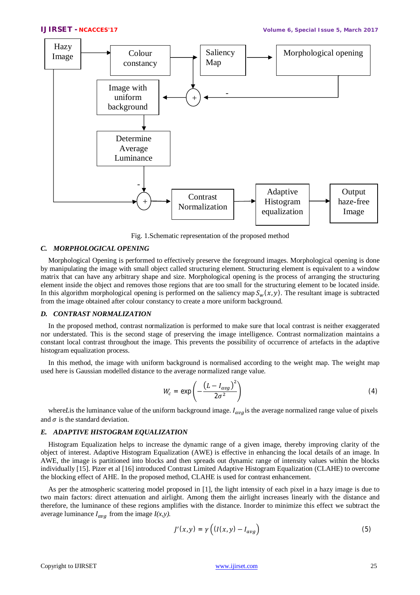

Fig. 1.Schematic representation of the proposed method

#### *C. MORPHOLOGICAL OPENING*

Morphological Opening is performed to effectively preserve the foreground images. Morphological opening is done by manipulating the image with small object called structuring element. Structuring element is equivalent to a window matrix that can have any arbitrary shape and size. Morphological opening is the process of arranging the structuring element inside the object and removes those regions that are too small for the structuring element to be located inside. In this algorithm morphological opening is performed on the saliency map  $S_{\mu}(x, y)$ . The resultant image is subtracted from the image obtained after colour constancy to create a more uniform background.

#### *D. CONTRAST NORMALIZATION*

In the proposed method, contrast normalization is performed to make sure that local contrast is neither exaggerated nor understated. This is the second stage of preserving the image intelligence. Contrast normalization maintains a constant local contrast throughout the image. This prevents the possibility of occurrence of artefacts in the adaptive histogram equalization process.

In this method, the image with uniform background is normalised according to the weight map. The weight map used here is Gaussian modelled distance to the average normalized range value.

$$
W_c = \exp\left(-\frac{\left(L - I_{avg}\right)^2}{2\sigma^2}\right) \tag{4}
$$

where*L*is the luminance value of the uniform background image.  $I_{avg}$  is the average normalized range value of pixels and  $\sigma$  is the standard deviation.

#### *E. ADAPTIVE HISTOGRAM EQUALIZATION*

Histogram Equalization helps to increase the dynamic range of a given image, thereby improving clarity of the object of interest. Adaptive Histogram Equalization (AWE) is effective in enhancing the local details of an image. In AWE, the image is partitioned into blocks and then spreads out dynamic range of intensity values within the blocks individually [15]. Pizer et al [16] introduced Contrast Limited Adaptive Histogram Equalization (CLAHE) to overcome the blocking effect of AHE. In the proposed method, CLAHE is used for contrast enhancement.

As per the atmospheric scattering model proposed in [1], the light intensity of each pixel in a hazy image is due to two main factors: direct attenuation and airlight. Among them the airlight increases linearly with the distance and therefore, the luminance of these regions amplifies with the distance. Inorder to minimize this effect we subtract the average luminance  $I_{ava}$  from the image  $I(x, y)$ .

$$
J'(x,y) = \gamma \left( (I(x,y) - I_{avg}) \right) \tag{5}
$$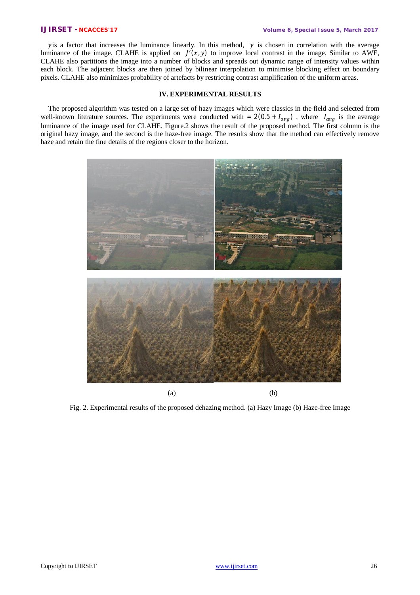$\gamma$ is a factor that increases the luminance linearly. In this method,  $\gamma$  is chosen in correlation with the average luminance of the image. CLAHE is applied on  $J'(x, y)$  to improve local contrast in the image. Similar to AWE, CLAHE also partitions the image into a number of blocks and spreads out dynamic range of intensity values within each block. The adjacent blocks are then joined by bilinear interpolation to minimise blocking effect on boundary pixels. CLAHE also minimizes probability of artefacts by restricting contrast amplification of the uniform areas.

#### **IV. EXPERIMENTAL RESULTS**

The proposed algorithm was tested on a large set of hazy images which were classics in the field and selected from well-known literature sources. The experiments were conducted with =  $2(0.5 + I_{avg})$ , where  $I_{avg}$  is the average luminance of the image used for CLAHE. Figure.2 shows the result of the proposed method. The first column is the original hazy image, and the second is the haze-free image. The results show that the method can effectively remove haze and retain the fine details of the regions closer to the horizon.



Fig. 2. Experimental results of the proposed dehazing method. (a) Hazy Image (b) Haze-free Image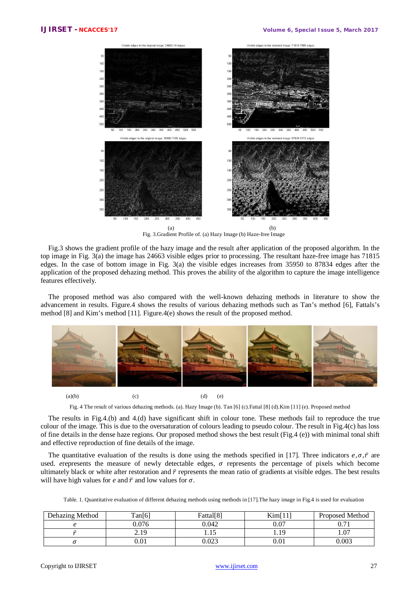

Fig. 3.Gradient Profile of. (a) Hazy Image (b) Haze-free Image

Fig.3 shows the gradient profile of the hazy image and the result after application of the proposed algorithm. In the top image in Fig. 3(a) the image has 24663 visible edges prior to processing. The resultant haze-free image has 71815 edges. In the case of bottom image in Fig. 3(a) the visible edges increases from 35950 to 87834 edges after the application of the proposed dehazing method. This proves the ability of the algorithm to capture the image intelligence features effectively.

The proposed method was also compared with the well-known dehazing methods in literature to show the advancement in results. Figure.4 shows the results of various dehazing methods such as Tan's method [6], Fattals's method [8] and Kim's method [11]. Figure.4(e) shows the result of the proposed method.



(a)(b)  $(c)$  (c)  $(d)$  (e)

Fig. 4 The result of various dehazing methods. (a). Hazy Image (b). Tan [6] (c).Fattal [8] (d).Kim [11] (e). Proposed method

The results in Fig.4.(b) and 4.(d) have significant shift in colour tone. These methods fail to reproduce the true colour of the image. This is due to the oversaturation of colours leading to pseudo colour. The result in Fig.4(c) has loss of fine details in the dense haze regions. Our proposed method shows the best result (Fig.4 (e)) with minimal tonal shift and effective reproduction of fine details of the image.

The quantitative evaluation of the results is done using the methods specified in [17]. Three indicators  $e, \sigma, \bar{r}$  are used. *e*represents the measure of newly detectable edges,  $\sigma$  represents the percentage of pixels which become ultimately black or white after restoration and  $\bar{r}$  represents the mean ratio of gradients at visible edges. The best results will have high values for *e* and  $\bar{r}$  and low values for  $\sigma$ .

|  |  | Table. 1. Quantitative evaluation of different dehazing methods using methods in [17]. The hazy image in Fig.4 is used for evaluation |  |
|--|--|---------------------------------------------------------------------------------------------------------------------------------------|--|
|--|--|---------------------------------------------------------------------------------------------------------------------------------------|--|

| Dehazing Method | Tan(6)              | Fattal <sup>[8]</sup> | Kim[11]                  | <b>Proposed Method</b> |
|-----------------|---------------------|-----------------------|--------------------------|------------------------|
|                 | 0.076               | 0.042                 | $\Omega$ $\Omega$<br>v.v | $\sim$ $-1$<br>v. 11   |
|                 | 1 Q<br><u> 2.IJ</u> | 1.10                  | 1.19                     | 1.07                   |
|                 | $0.01\,$            | 0.023                 | 0.01                     | 0.003                  |